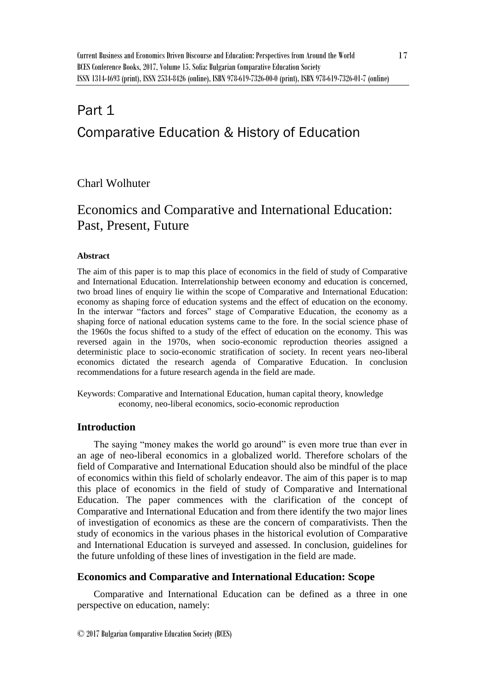# Part 1 Comparative Education & History of Education

# Charl Wolhuter

# Economics and Comparative and International Education: Past, Present, Future

#### **Abstract**

The aim of this paper is to map this place of economics in the field of study of Comparative and International Education. Interrelationship between economy and education is concerned, two broad lines of enquiry lie within the scope of Comparative and International Education: economy as shaping force of education systems and the effect of education on the economy. In the interwar "factors and forces" stage of Comparative Education, the economy as a shaping force of national education systems came to the fore. In the social science phase of the 1960s the focus shifted to a study of the effect of education on the economy. This was reversed again in the 1970s, when socio-economic reproduction theories assigned a deterministic place to socio-economic stratification of society. In recent years neo-liberal economics dictated the research agenda of Comparative Education. In conclusion recommendations for a future research agenda in the field are made.

Keywords: Comparative and International Education, human capital theory, knowledge economy, neo-liberal economics, socio-economic reproduction

# **Introduction**

The saying "money makes the world go around" is even more true than ever in an age of neo-liberal economics in a globalized world. Therefore scholars of the field of Comparative and International Education should also be mindful of the place of economics within this field of scholarly endeavor. The aim of this paper is to map this place of economics in the field of study of Comparative and International Education. The paper commences with the clarification of the concept of Comparative and International Education and from there identify the two major lines of investigation of economics as these are the concern of comparativists. Then the study of economics in the various phases in the historical evolution of Comparative and International Education is surveyed and assessed. In conclusion, guidelines for the future unfolding of these lines of investigation in the field are made.

#### **Economics and Comparative and International Education: Scope**

Comparative and International Education can be defined as a three in one perspective on education, namely: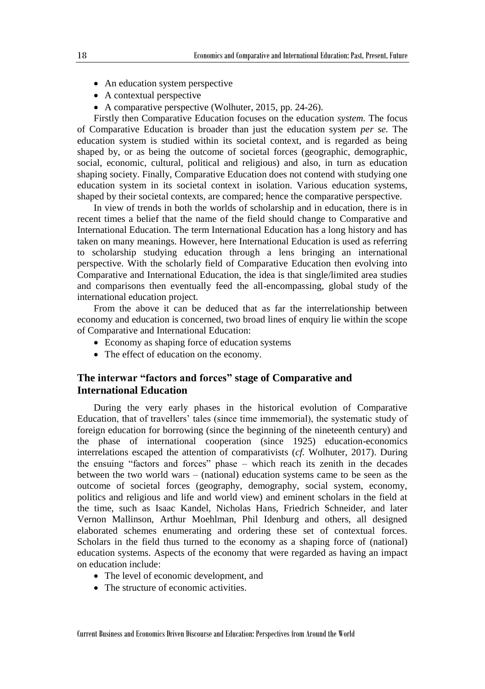- An education system perspective
- A contextual perspective
- A comparative perspective (Wolhuter, 2015, pp. 24-26).

Firstly then Comparative Education focuses on the education *system.* The focus of Comparative Education is broader than just the education system *per se.* The education system is studied within its societal context, and is regarded as being shaped by, or as being the outcome of societal forces (geographic, demographic, social, economic, cultural, political and religious) and also, in turn as education shaping society. Finally, Comparative Education does not contend with studying one education system in its societal context in isolation. Various education systems, shaped by their societal contexts, are compared; hence the comparative perspective.

In view of trends in both the worlds of scholarship and in education, there is in recent times a belief that the name of the field should change to Comparative and International Education. The term International Education has a long history and has taken on many meanings. However, here International Education is used as referring to scholarship studying education through a lens bringing an international perspective. With the scholarly field of Comparative Education then evolving into Comparative and International Education, the idea is that single/limited area studies and comparisons then eventually feed the all-encompassing, global study of the international education project.

From the above it can be deduced that as far the interrelationship between economy and education is concerned, two broad lines of enquiry lie within the scope of Comparative and International Education:

- Economy as shaping force of education systems
- The effect of education on the economy.

# **The interwar "factors and forces" stage of Comparative and International Education**

During the very early phases in the historical evolution of Comparative Education, that of travellers' tales (since time immemorial), the systematic study of foreign education for borrowing (since the beginning of the nineteenth century) and the phase of international cooperation (since 1925) education-economics interrelations escaped the attention of comparativists (*cf.* Wolhuter, 2017). During the ensuing "factors and forces" phase – which reach its zenith in the decades between the two world wars – (national) education systems came to be seen as the outcome of societal forces (geography, demography, social system, economy, politics and religious and life and world view) and eminent scholars in the field at the time, such as Isaac Kandel, Nicholas Hans, Friedrich Schneider, and later Vernon Mallinson, Arthur Moehlman, Phil Idenburg and others, all designed elaborated schemes enumerating and ordering these set of contextual forces. Scholars in the field thus turned to the economy as a shaping force of (national) education systems. Aspects of the economy that were regarded as having an impact on education include:

- The level of economic development, and
- The structure of economic activities.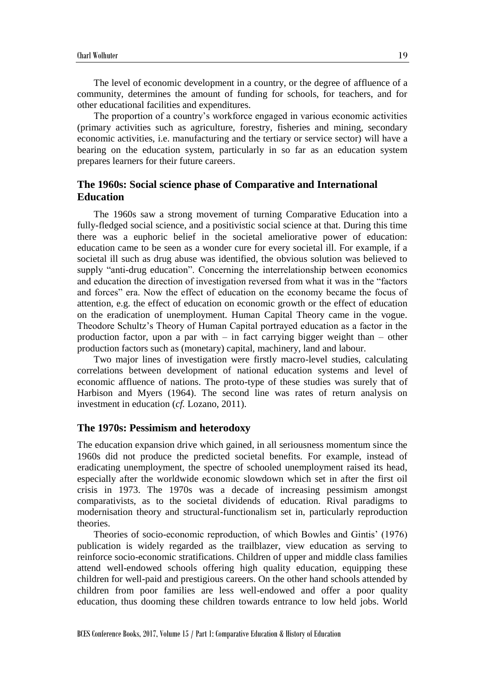The level of economic development in a country, or the degree of affluence of a community, determines the amount of funding for schools, for teachers, and for other educational facilities and expenditures.

The proportion of a country's workforce engaged in various economic activities (primary activities such as agriculture, forestry, fisheries and mining, secondary economic activities, i.e. manufacturing and the tertiary or service sector) will have a bearing on the education system, particularly in so far as an education system prepares learners for their future careers.

## **The 1960s: Social science phase of Comparative and International Education**

The 1960s saw a strong movement of turning Comparative Education into a fully-fledged social science, and a positivistic social science at that. During this time there was a euphoric belief in the societal ameliorative power of education: education came to be seen as a wonder cure for every societal ill. For example, if a societal ill such as drug abuse was identified, the obvious solution was believed to supply "anti-drug education". Concerning the interrelationship between economics and education the direction of investigation reversed from what it was in the "factors and forces" era. Now the effect of education on the economy became the focus of attention, e.g. the effect of education on economic growth or the effect of education on the eradication of unemployment. Human Capital Theory came in the vogue. Theodore Schultz's Theory of Human Capital portrayed education as a factor in the production factor, upon a par with  $-$  in fact carrying bigger weight than  $-$  other production factors such as (monetary) capital, machinery, land and labour.

Two major lines of investigation were firstly macro-level studies, calculating correlations between development of national education systems and level of economic affluence of nations. The proto-type of these studies was surely that of Harbison and Myers (1964). The second line was rates of return analysis on investment in education (*cf.* Lozano, 2011).

#### **The 1970s: Pessimism and heterodoxy**

The education expansion drive which gained, in all seriousness momentum since the 1960s did not produce the predicted societal benefits. For example, instead of eradicating unemployment, the spectre of schooled unemployment raised its head, especially after the worldwide economic slowdown which set in after the first oil crisis in 1973. The 1970s was a decade of increasing pessimism amongst comparativists, as to the societal dividends of education. Rival paradigms to modernisation theory and structural-functionalism set in, particularly reproduction theories.

Theories of socio-economic reproduction, of which Bowles and Gintis' (1976) publication is widely regarded as the trailblazer, view education as serving to reinforce socio-economic stratifications. Children of upper and middle class families attend well-endowed schools offering high quality education, equipping these children for well-paid and prestigious careers. On the other hand schools attended by children from poor families are less well-endowed and offer a poor quality education, thus dooming these children towards entrance to low held jobs. World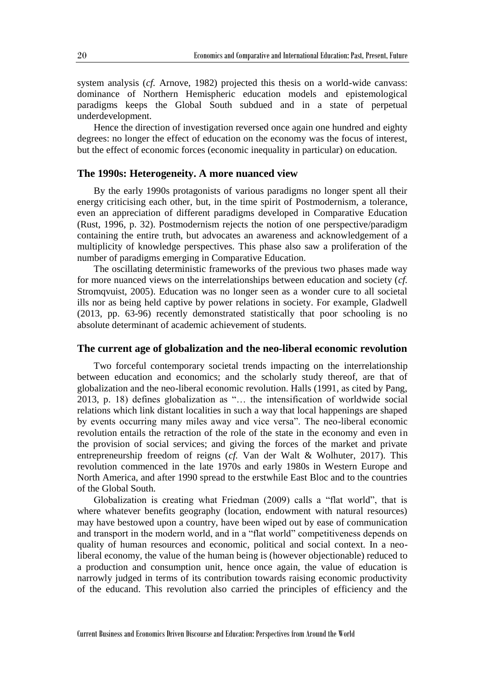system analysis (*cf.* Arnove, 1982) projected this thesis on a world-wide canvass: dominance of Northern Hemispheric education models and epistemological paradigms keeps the Global South subdued and in a state of perpetual underdevelopment.

Hence the direction of investigation reversed once again one hundred and eighty degrees: no longer the effect of education on the economy was the focus of interest, but the effect of economic forces (economic inequality in particular) on education.

## **The 1990s: Heterogeneity. A more nuanced view**

By the early 1990s protagonists of various paradigms no longer spent all their energy criticising each other, but, in the time spirit of Postmodernism, a tolerance, even an appreciation of different paradigms developed in Comparative Education (Rust, 1996, p. 32). Postmodernism rejects the notion of one perspective/paradigm containing the entire truth, but advocates an awareness and acknowledgement of a multiplicity of knowledge perspectives. This phase also saw a proliferation of the number of paradigms emerging in Comparative Education.

The oscillating deterministic frameworks of the previous two phases made way for more nuanced views on the interrelationships between education and society (*cf.* Stromqvuist, 2005). Education was no longer seen as a wonder cure to all societal ills nor as being held captive by power relations in society. For example, Gladwell (2013, pp. 63-96) recently demonstrated statistically that poor schooling is no absolute determinant of academic achievement of students.

#### **The current age of globalization and the neo-liberal economic revolution**

Two forceful contemporary societal trends impacting on the interrelationship between education and economics; and the scholarly study thereof, are that of globalization and the neo-liberal economic revolution. Halls (1991, as cited by Pang, 2013, p. 18) defines globalization as "… the intensification of worldwide social relations which link distant localities in such a way that local happenings are shaped by events occurring many miles away and vice versa". The neo-liberal economic revolution entails the retraction of the role of the state in the economy and even in the provision of social services; and giving the forces of the market and private entrepreneurship freedom of reigns (*cf.* Van der Walt & Wolhuter, 2017). This revolution commenced in the late 1970s and early 1980s in Western Europe and North America, and after 1990 spread to the erstwhile East Bloc and to the countries of the Global South.

Globalization is creating what Friedman (2009) calls a "flat world", that is where whatever benefits geography (location, endowment with natural resources) may have bestowed upon a country, have been wiped out by ease of communication and transport in the modern world, and in a "flat world" competitiveness depends on quality of human resources and economic, political and social context. In a neoliberal economy, the value of the human being is (however objectionable) reduced to a production and consumption unit, hence once again, the value of education is narrowly judged in terms of its contribution towards raising economic productivity of the educand. This revolution also carried the principles of efficiency and the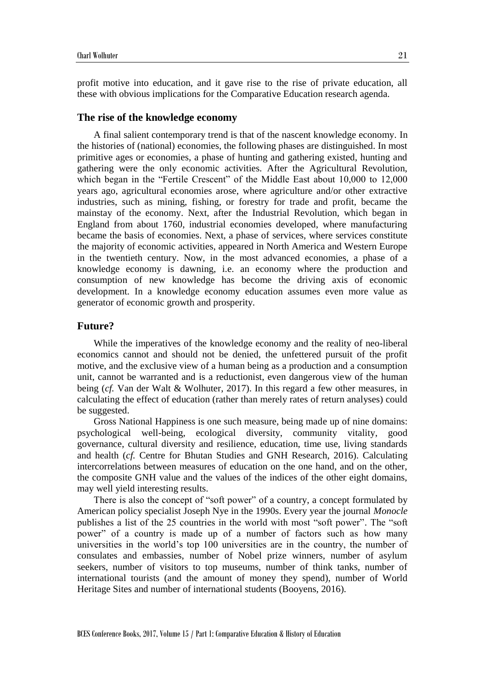profit motive into education, and it gave rise to the rise of private education, all these with obvious implications for the Comparative Education research agenda.

#### **The rise of the knowledge economy**

A final salient contemporary trend is that of the nascent knowledge economy. In the histories of (national) economies, the following phases are distinguished. In most primitive ages or economies, a phase of hunting and gathering existed, hunting and gathering were the only economic activities. After the Agricultural Revolution, which began in the "Fertile Crescent" of the Middle East about 10,000 to 12,000 years ago, agricultural economies arose, where agriculture and/or other extractive industries, such as mining, fishing, or forestry for trade and profit, became the mainstay of the economy. Next, after the Industrial Revolution, which began in England from about 1760, industrial economies developed, where manufacturing became the basis of economies. Next, a phase of services, where services constitute the majority of economic activities, appeared in North America and Western Europe in the twentieth century. Now, in the most advanced economies, a phase of a knowledge economy is dawning, i.e. an economy where the production and consumption of new knowledge has become the driving axis of economic development. In a knowledge economy education assumes even more value as generator of economic growth and prosperity.

#### **Future?**

While the imperatives of the knowledge economy and the reality of neo-liberal economics cannot and should not be denied, the unfettered pursuit of the profit motive, and the exclusive view of a human being as a production and a consumption unit, cannot be warranted and is a reductionist, even dangerous view of the human being (*cf.* Van der Walt & Wolhuter, 2017). In this regard a few other measures, in calculating the effect of education (rather than merely rates of return analyses) could be suggested.

Gross National Happiness is one such measure, being made up of nine domains: psychological well-being, ecological diversity, community vitality, good governance, cultural diversity and resilience, education, time use, living standards and health (*cf.* Centre for Bhutan Studies and GNH Research, 2016). Calculating intercorrelations between measures of education on the one hand, and on the other, the composite GNH value and the values of the indices of the other eight domains, may well yield interesting results.

There is also the concept of "soft power" of a country, a concept formulated by American policy specialist Joseph Nye in the 1990s. Every year the journal *Monocle*  publishes a list of the 25 countries in the world with most "soft power". The "soft power" of a country is made up of a number of factors such as how many universities in the world's top 100 universities are in the country, the number of consulates and embassies, number of Nobel prize winners, number of asylum seekers, number of visitors to top museums, number of think tanks, number of international tourists (and the amount of money they spend), number of World Heritage Sites and number of international students (Booyens, 2016).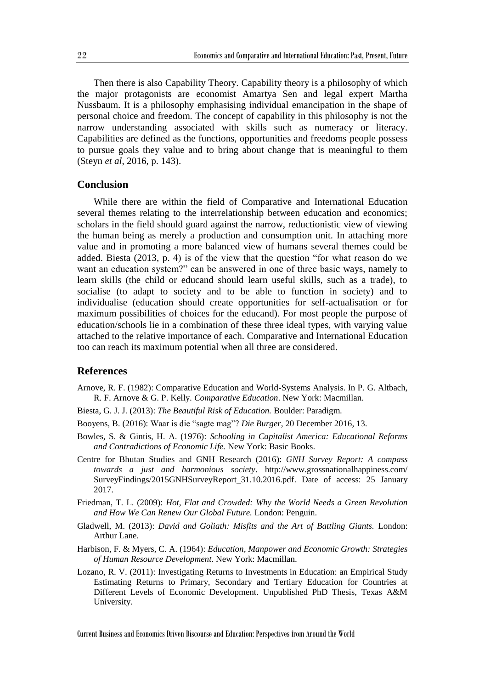Then there is also Capability Theory. Capability theory is a philosophy of which the major protagonists are economist Amartya Sen and legal expert Martha Nussbaum. It is a philosophy emphasising individual emancipation in the shape of personal choice and freedom. The concept of capability in this philosophy is not the narrow understanding associated with skills such as numeracy or literacy. Capabilities are defined as the functions, opportunities and freedoms people possess to pursue goals they value and to bring about change that is meaningful to them (Steyn *et al*, 2016, p. 143).

#### **Conclusion**

While there are within the field of Comparative and International Education several themes relating to the interrelationship between education and economics; scholars in the field should guard against the narrow, reductionistic view of viewing the human being as merely a production and consumption unit. In attaching more value and in promoting a more balanced view of humans several themes could be added. Biesta (2013, p. 4) is of the view that the question "for what reason do we want an education system?" can be answered in one of three basic ways, namely to learn skills (the child or educand should learn useful skills, such as a trade), to socialise (to adapt to society and to be able to function in society) and to individualise (education should create opportunities for self-actualisation or for maximum possibilities of choices for the educand). For most people the purpose of education/schools lie in a combination of these three ideal types, with varying value attached to the relative importance of each. Comparative and International Education too can reach its maximum potential when all three are considered.

#### **References**

- Arnove, R. F. (1982): Comparative Education and World-Systems Analysis. In P. G. Altbach, R. F. Arnove & G. P. Kelly. *Comparative Education*. New York: Macmillan.
- Biesta, G. J. J. (2013): *The Beautiful Risk of Education.* Boulder: Paradigm.
- Booyens, B. (2016): Waar is die "sagte mag"? *Die Burger*, 20 December 2016, 13.
- Bowles, S. & Gintis, H. A. (1976): *Schooling in Capitalist America: Educational Reforms and Contradictions of Economic Life.* New York: Basic Books.
- Centre for Bhutan Studies and GNH Research (2016): *GNH Survey Report: A compass towards a just and harmonious society*. http://www.grossnationalhappiness.com/ SurveyFindings/2015GNHSurveyReport\_31.10.2016.pdf. Date of access: 25 January 2017.
- Friedman, T. L. (2009): *Hot, Flat and Crowded: Why the World Needs a Green Revolution and How We Can Renew Our Global Future.* London: Penguin.
- Gladwell, M. (2013): *David and Goliath: Misfits and the Art of Battling Giants.* London: Arthur Lane.
- Harbison, F. & Myers, C. A. (1964): *Education, Manpower and Economic Growth: Strategies of Human Resource Development*. New York: Macmillan.
- Lozano, R. V. (2011): Investigating Returns to Investments in Education: an Empirical Study Estimating Returns to Primary, Secondary and Tertiary Education for Countries at Different Levels of Economic Development. Unpublished PhD Thesis, Texas A&M University.

Current Business and Economics Driven Discourse and Education: Perspectives from Around the World